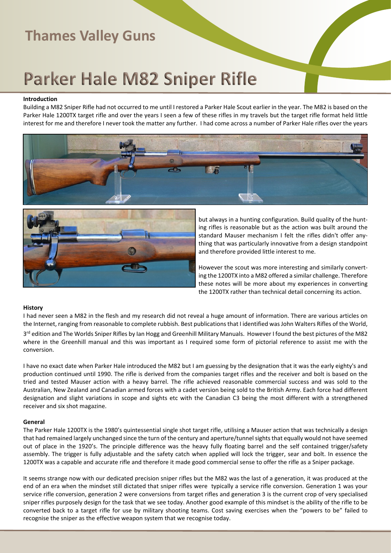# **Parker Hale M82 Sniper Rifle**

#### **Introduction**

Building a M82 Sniper Rifle had not occurred to me until I restored a Parker Hale Scout earlier in the year. The M82 is based on the Parker Hale 1200TX target rifle and over the years I seen a few of these rifles in my travels but the target rifle format held little interest for me and therefore I never took the matter any further. I had come across a number of Parker Hale rifles over the years





but always in a hunting configuration. Build quality of the hunting rifles is reasonable but as the action was built around the standard Mauser mechanism I felt the rifles didn't offer anything that was particularly innovative from a design standpoint and therefore provided little interest to me.

However the scout was more interesting and similarly converting the 1200TX into a M82 offered a similar challenge. Therefore these notes will be more about my experiences in converting the 1200TX rather than technical detail concerning its action.

#### **History**

I had never seen a M82 in the flesh and my research did not reveal a huge amount of information. There are various articles on the Internet, ranging from reasonable to complete rubbish. Best publications that I identified was John Walters Rifles of the World, 3<sup>rd</sup> edition and The Worlds Sniper Rifles by Ian Hogg and Greenhill Military Manuals. However I found the best pictures of the M82 where in the Greenhill manual and this was important as I required some form of pictorial reference to assist me with the conversion.

I have no exact date when Parker Hale introduced the M82 but I am guessing by the designation that it was the early eighty's and production continued until 1990. The rifle is derived from the companies target rifles and the receiver and bolt is based on the tried and tested Mauser action with a heavy barrel. The rifle achieved reasonable commercial success and was sold to the Australian, New Zealand and Canadian armed forces with a cadet version being sold to the British Army. Each force had different designation and slight variations in scope and sights etc with the Canadian C3 being the most different with a strengthened receiver and six shot magazine.

#### **General**

The Parker Hale 1200TX is the 1980's quintessential single shot target rifle, utilising a Mauser action that was technically a design that had remained largely unchanged since the turn of the century and aperture/tunnel sights that equally would not have seemed out of place in the 1920's. The principle difference was the heavy fully floating barrel and the self contained trigger/safety assembly. The trigger is fully adjustable and the safety catch when applied will lock the trigger, sear and bolt. In essence the 1200TX was a capable and accurate rifle and therefore it made good commercial sense to offer the rifle as a Sniper package.

It seems strange now with our dedicated precision sniper rifles but the M82 was the last of a generation, it was produced at the end of an era when the mindset still dictated that sniper rifles were typically a service rifle conversion. Generation 1 was your service rifle conversion, generation 2 were conversions from target rifles and generation 3 is the current crop of very specialised sniper rifles purposely design for the task that we see today. Another good example of this mindset is the ability of the rifle to be converted back to a target rifle for use by military shooting teams. Cost saving exercises when the "powers to be" failed to recognise the sniper as the effective weapon system that we recognise today.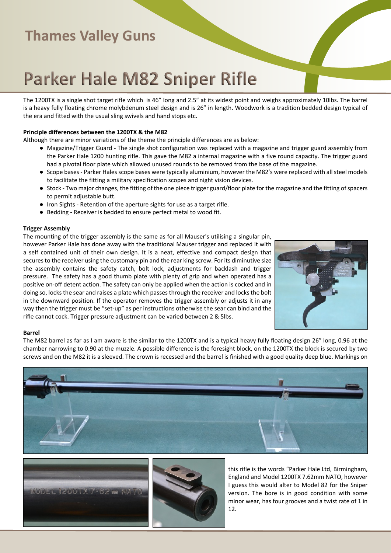# **Parker Hale M82 Sniper Rifle**

The 1200TX is a single shot target rifle which is 46" long and 2.5" at its widest point and weighs approximately 10lbs. The barrel is a heavy fully floating chrome molybdenum steel design and is 26" in length. Woodwork is a tradition bedded design typical of the era and fitted with the usual sling swivels and hand stops etc.

### **Principle differences between the 1200TX & the M82**

Although there are minor variations of the theme the principle differences are as below:

- Magazine/Trigger Guard The single shot configuration was replaced with a magazine and trigger guard assembly from the Parker Hale 1200 hunting rifle. This gave the M82 a internal magazine with a five round capacity. The trigger guard had a pivotal floor plate which allowed unused rounds to be removed from the base of the magazine.
- Scope bases Parker Hales scope bases were typically aluminium, however the M82's were replaced with all steel models to facilitate the fitting a military specification scopes and night vision devices.
- Stock Two major changes, the fitting of the one piece trigger guard/floor plate for the magazine and the fitting of spacers to permit adjustable butt.
- Iron Sights Retention of the aperture sights for use as a target rifle.
- Bedding Receiver is bedded to ensure perfect metal to wood fit.

### **Trigger Assembly**

The mounting of the trigger assembly is the same as for all Mauser's utilising a singular pin, however Parker Hale has done away with the traditional Mauser trigger and replaced it with a self contained unit of their own design. It is a neat, effective and compact design that secures to the receiver using the customary pin and the rear king screw. For its diminutive size the assembly contains the safety catch, bolt lock, adjustments for backlash and trigger pressure. The safety has a good thumb plate with plenty of grip and when operated has a positive on-off detent action. The safety can only be applied when the action is cocked and in doing so, locks the sear and raises a plate which passes through the receiver and locks the bolt in the downward position. If the operator removes the trigger assembly or adjusts it in any way then the trigger must be "set-up" as per instructions otherwise the sear can bind and the rifle cannot cock. Trigger pressure adjustment can be varied between 2 & 5lbs.



#### **Barrel**

The M82 barrel as far as I am aware is the similar to the 1200TX and is a typical heavy fully floating design 26" long, 0.96 at the chamber narrowing to 0.90 at the muzzle. A possible difference is the foresight block, on the 1200TX the block is secured by two screws and on the M82 it is a sleeved. The crown is recessed and the barrel is finished with a good quality deep blue. Markings on







this rifle is the words "Parker Hale Ltd, Birmingham, England and Model 1200TX 7.62mm NATO, however I guess this would alter to Model 82 for the Sniper version. The bore is in good condition with some minor wear, has four grooves and a twist rate of 1 in 12.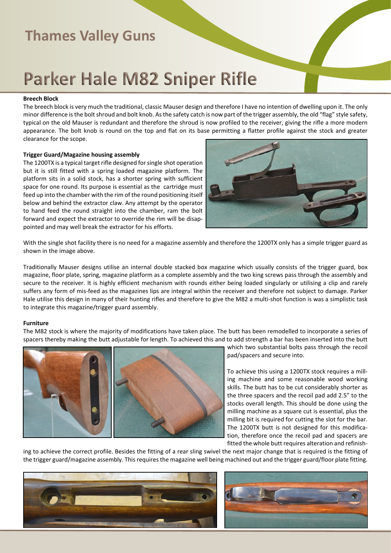## **Parker Hale M82 Sniper Rifle**

#### **Breech Block**

The breech block is very much the traditional, classic Mauser design and therefore I have no intention of dwelling upon it. The only minor difference is the bolt shroud and bolt knob. As the safety catch is now part of the trigger assembly, the old "flag" style safety, typical on the old Mauser is redundant and therefore the shroud is now profiled to the receiver, giving the rifle a more modern appearance. The bolt knob is round on the top and flat on its base permitting a flatter profile against the stock and greater clearance for the scope.

#### **Trigger Guard/Magazine housing assembly**

The 1200TX is a typical target rifle designed for single shot operation but it is still fitted with a spring loaded magazine platform. The platform sits in a solid stock, has a shorter spring with sufficient space for one round. Its purpose is essential as the cartridge must feed up into the chamber with the rim of the round positioning itself below and behind the extractor claw. Any attempt by the operator to hand feed the round straight into the chamber, ram the bolt forward and expect the extractor to override the rim will be disappointed and may well break the extractor for his efforts.



With the single shot facility there is no need for a magazine assembly and therefore the 1200TX only has a simple trigger guard as shown in the image above.

Traditionally Mauser designs utilise an internal double stacked box magazine which usually consists of the trigger guard, box magazine, floor plate, spring, magazine platform as a complete assembly and the two king screws pass through the assembly and secure to the receiver. It is highly efficient mechanism with rounds either being loaded singularly or utilising a clip and rarely suffers any form of mis-feed as the magazines lips are integral within the receiver and therefore not subject to damage. Parker Hale utilise this design in many of their hunting rifles and therefore to give the M82 a multi-shot function is was a simplistic task to integrate this magazine/trigger guard assembly.

#### **Furniture**

The M82 stock is where the majority of modifications have taken place. The butt has been remodelled to incorporate a series of spacers thereby making the butt adjustable for length. To achieved this and to add strength a bar has been inserted into the butt



which two substantial bolts pass through the recoil pad/spacers and secure into.

To achieve this using a 1200TX stock requires a milling machine and some reasonable wood working skills. The butt has to be cut considerably shorter as the three spacers and the recoil pad add 2.5" to the stocks overall length. This should be done using the milling machine as a square cut is essential, plus the milling bit is required for cutting the slot for the bar. The 1200TX butt is not designed for this modification, therefore once the recoil pad and spacers are fitted the whole butt requires alteration and refinish-

ing to achieve the correct profile. Besides the fitting of a rear sling swivel the next major change that is required is the fitting of the trigger guard/magazine assembly. This requires the magazine well being machined out and the trigger guard/floor plate fitting.



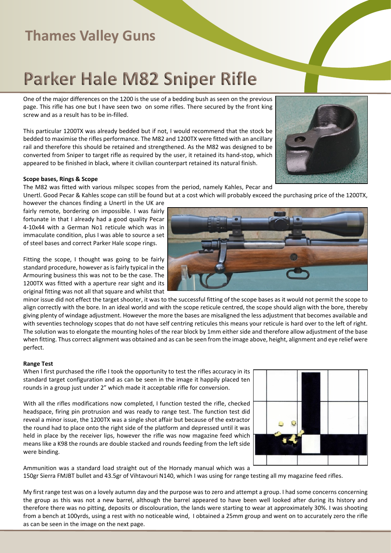# **Parker Hale M82 Sniper Rifle**

One of the major differences on the 1200 is the use of a bedding bush as seen on the previous page. This rifle has one but I have seen two on some rifles. There secured by the front king screw and as a result has to be in-filled.

This particular 1200TX was already bedded but if not, I would recommend that the stock be bedded to maximise the rifles performance. The M82 and 1200TX were fitted with an ancillary rail and therefore this should be retained and strengthened. As the M82 was designed to be converted from Sniper to target rifle as required by the user, it retained its hand-stop, which appeared to be finished in black, where it civilian counterpart retained its natural finish.

## **Scope bases, Rings & Scope**

The M82 was fitted with various milspec scopes from the period, namely Kahles, Pecar and

Unertl. Good Pecar & Kahles scope can still be found but at a cost which will probably exceed the purchasing price of the 1200TX, however the chances finding a Unertl in the UK are

fairly remote, bordering on impossible. I was fairly fortunate in that I already had a good quality Pecar 4-10x44 with a German No1 reticule which was in immaculate condition, plus I was able to source a set of steel bases and correct Parker Hale scope rings.

Fitting the scope, I thought was going to be fairly standard procedure, however as is fairly typical in the Armouring business this was not to be the case. The 1200TX was fitted with a aperture rear sight and its original fitting was not all that square and whilst that

minor issue did not effect the target shooter, it was to the successful fitting of the scope bases as it would not permit the scope to align correctly with the bore. In an ideal world and with the scope reticule centred, the scope should align with the bore, thereby giving plenty of windage adjustment. However the more the bases are misaligned the less adjustment that becomes available and with seventies technology scopes that do not have self centring reticules this means your reticule is hard over to the left of right. The solution was to elongate the mounting holes of the rear block by 1mm either side and therefore allow adjustment of the base when fitting. Thus correct alignment was obtained and as can be seen from the image above, height, alignment and eye relief were perfect.

### **Range Test**

When I first purchased the rifle I took the opportunity to test the rifles accuracy in its standard target configuration and as can be seen in the image it happily placed ten rounds in a group just under 2" which made it acceptable rifle for conversion.

With all the rifles modifications now completed, I function tested the rifle, checked headspace, firing pin protrusion and was ready to range test. The function test did reveal a minor issue, the 1200TX was a single shot affair but because of the extractor the round had to place onto the right side of the platform and depressed until it was held in place by the receiver lips, however the rifle was now magazine feed which means like a K98 the rounds are double stacked and rounds feeding from the left side were binding.

Ammunition was a standard load straight out of the Hornady manual which was a 150gr Sierra FMJBT bullet and 43.5gr of Vihtavouri N140, which I was using for range testing all my magazine feed rifles.

My first range test was on a lovely autumn day and the purpose was to zero and attempt a group. I had some concerns concerning the group as this was not a new barrel, although the barrel appeared to have been well looked after during its history and therefore there was no pitting, deposits or discolouration, the lands were starting to wear at approximately 30%. I was shooting from a bench at 100yrds, using a rest with no noticeable wind, I obtained a 25mm group and went on to accurately zero the rifle as can be seen in the image on the next page.